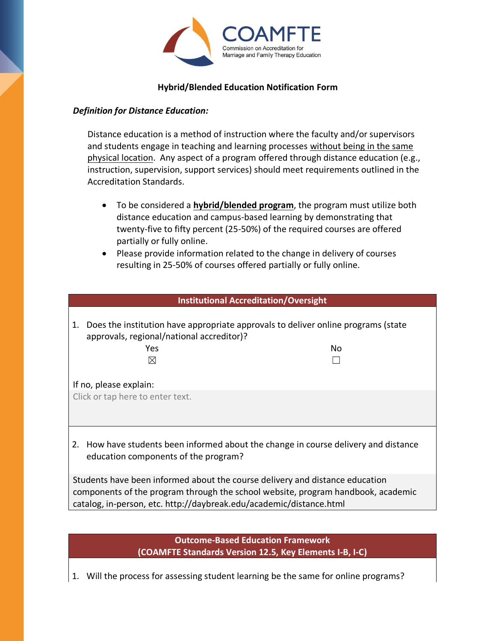

## **Hybrid/Blended Education Notification Form**

## *Definition for Distance Education:*

Distance education is a method of instruction where the faculty and/or supervisors and students engage in teaching and learning processes without being in the same physical location. Any aspect of a program offered through distance education (e.g., instruction, supervision, support services) should meet requirements outlined in the Accreditation Standards.

- To be considered a **hybrid/blended program**, the program must utilize both distance education and campus-based learning by demonstrating that twenty-five to fifty percent (25-50%) of the required courses are offered partially or fully online.
- Please provide information related to the change in delivery of courses resulting in 25-50% of courses offered partially or fully online.

| <b>Institutional Accreditation/Oversight</b>                                                                                                                                                                                            |    |  |  |  |
|-----------------------------------------------------------------------------------------------------------------------------------------------------------------------------------------------------------------------------------------|----|--|--|--|
| 1. Does the institution have appropriate approvals to deliver online programs (state<br>approvals, regional/national accreditor)?<br>Yes<br>⊠                                                                                           | No |  |  |  |
| If no, please explain:                                                                                                                                                                                                                  |    |  |  |  |
| Click or tap here to enter text.                                                                                                                                                                                                        |    |  |  |  |
| 2. How have students been informed about the change in course delivery and distance<br>education components of the program?                                                                                                             |    |  |  |  |
| Students have been informed about the course delivery and distance education<br>components of the program through the school website, program handbook, academic<br>catalog, in-person, etc. http://daybreak.edu/academic/distance.html |    |  |  |  |

**Outcome-Based Education Framework (COAMFTE Standards Version 12.5, Key Elements I-B, I-C)**

1. Will the process for assessing student learning be the same for online programs?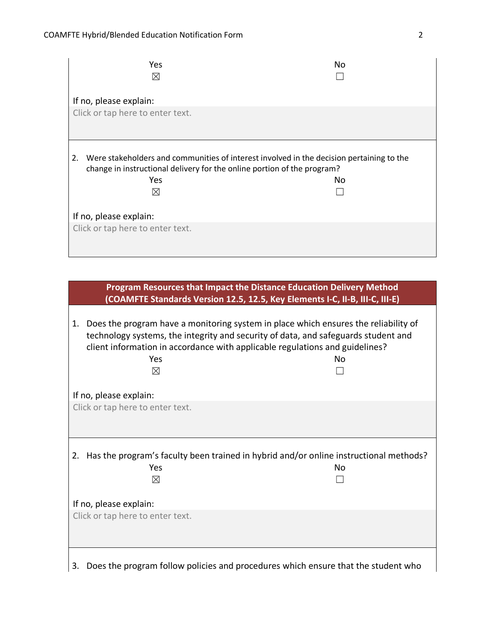| Yes<br>$\boxtimes$                                                                                                                                                                                    | No |  |  |  |
|-------------------------------------------------------------------------------------------------------------------------------------------------------------------------------------------------------|----|--|--|--|
| If no, please explain:<br>Click or tap here to enter text.                                                                                                                                            |    |  |  |  |
| Were stakeholders and communities of interest involved in the decision pertaining to the<br>2.<br>change in instructional delivery for the online portion of the program?<br>Yes<br>No<br>$\boxtimes$ |    |  |  |  |
| If no, please explain:                                                                                                                                                                                |    |  |  |  |
| Click or tap here to enter text.                                                                                                                                                                      |    |  |  |  |

| Program Resources that Impact the Distance Education Delivery Method<br>(COAMFTE Standards Version 12.5, 12.5, Key Elements I-C, II-B, III-C, III-E)                                                                                                                        |                                                                                             |  |  |
|-----------------------------------------------------------------------------------------------------------------------------------------------------------------------------------------------------------------------------------------------------------------------------|---------------------------------------------------------------------------------------------|--|--|
| Does the program have a monitoring system in place which ensures the reliability of<br>1.<br>technology systems, the integrity and security of data, and safeguards student and<br>client information in accordance with applicable regulations and guidelines?<br>Yes<br>⊠ | No                                                                                          |  |  |
| If no, please explain:                                                                                                                                                                                                                                                      |                                                                                             |  |  |
| Click or tap here to enter text.                                                                                                                                                                                                                                            |                                                                                             |  |  |
| 2.<br>Yes<br>$\boxtimes$                                                                                                                                                                                                                                                    | Has the program's faculty been trained in hybrid and/or online instructional methods?<br>No |  |  |
| If no, please explain:                                                                                                                                                                                                                                                      |                                                                                             |  |  |
| Click or tap here to enter text.                                                                                                                                                                                                                                            |                                                                                             |  |  |
| Does the program follow policies and procedures which ensure that the student who<br>3.                                                                                                                                                                                     |                                                                                             |  |  |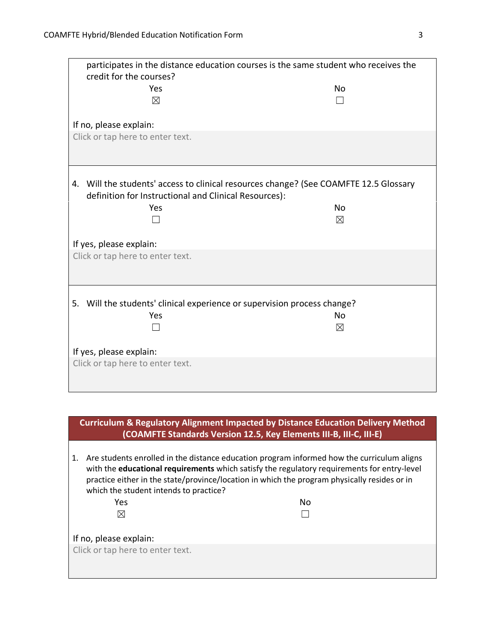| participates in the distance education courses is the same student who receives the<br>credit for the courses?                                 |             |  |  |
|------------------------------------------------------------------------------------------------------------------------------------------------|-------------|--|--|
| Yes                                                                                                                                            | No.         |  |  |
| $\boxtimes$                                                                                                                                    |             |  |  |
| If no, please explain:                                                                                                                         |             |  |  |
| Click or tap here to enter text.                                                                                                               |             |  |  |
| 4. Will the students' access to clinical resources change? (See COAMFTE 12.5 Glossary<br>definition for Instructional and Clinical Resources): |             |  |  |
| Yes                                                                                                                                            | <b>No</b>   |  |  |
|                                                                                                                                                | $\boxtimes$ |  |  |
| If yes, please explain:                                                                                                                        |             |  |  |
| Click or tap here to enter text.                                                                                                               |             |  |  |
| 5. Will the students' clinical experience or supervision process change?                                                                       |             |  |  |
| Yes                                                                                                                                            | No          |  |  |
|                                                                                                                                                | $\boxtimes$ |  |  |
| If yes, please explain:                                                                                                                        |             |  |  |
| Click or tap here to enter text.                                                                                                               |             |  |  |

| <b>Curriculum &amp; Regulatory Alignment Impacted by Distance Education Delivery Method</b><br>(COAMFTE Standards Version 12.5, Key Elements III-B, III-C, III-E)                                                                                                                                                                         |    |  |  |
|-------------------------------------------------------------------------------------------------------------------------------------------------------------------------------------------------------------------------------------------------------------------------------------------------------------------------------------------|----|--|--|
| Are students enrolled in the distance education program informed how the curriculum aligns<br>1.<br>with the educational requirements which satisfy the regulatory requirements for entry-level<br>practice either in the state/province/location in which the program physically resides or in<br>which the student intends to practice? |    |  |  |
| Yes                                                                                                                                                                                                                                                                                                                                       | No |  |  |
| $\bowtie$                                                                                                                                                                                                                                                                                                                                 |    |  |  |
|                                                                                                                                                                                                                                                                                                                                           |    |  |  |
| If no, please explain:                                                                                                                                                                                                                                                                                                                    |    |  |  |
| Click or tap here to enter text.                                                                                                                                                                                                                                                                                                          |    |  |  |